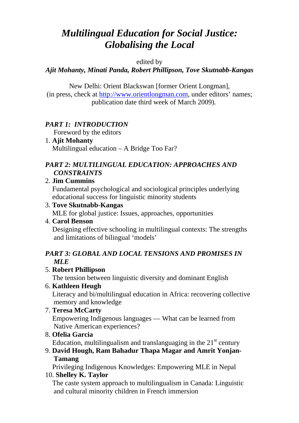# *Multilingual Education for Social Justice: Globalising the Local*

#### edited by

## *Ajit Mohanty, Minati Panda, Robert Phillipson, [Tove Skutnabb-Kangas](http://www.tove-skutnabb-kangas.org)*

New Delhi: Orient Blackswan [former Orient Longman], (in press, check at [http://www.orientlongman.com,](http://www.orientlongman.com/) under editors' names; publication date third week of March 2009).

## *PART 1: INTRODUCTION*

Foreword by the editors

1. **Ajit Mohanty**  Multilingual education – A Bridge Too Far?

## *PART 2: MULTILINGUAL EDUCATION: APPROACHES AND CONSTRAINTS*

#### 2. **Jim Cummins**

Fundamental psychological and sociological principles underlying educational success for linguistic minority students

#### 3. **Tove Skutnabb-Kangas**

MLE for global justice: Issues, approaches, opportunities

#### 4. **Carol Benson**

Designing effective schooling in multilingual contexts: The strengths and limitations of bilingual 'models'

#### *PART 3: GLOBAL AND LOCAL TENSIONS AND PROMISES IN MLE*

## 5. **Robert Phillipson**

The tension between linguistic diversity and dominant English

## 6. **Kathleen Heugh**

Literacy and bi/multilingual education in Africa: recovering collective memory and knowledge

# 7. **Teresa McCarty**

Empowering Indigenous languages — What can be learned from Native American experiences?

8. **Ofelia Garcia**

Education, multilingualism and translanguaging in the  $21<sup>st</sup>$  century

9. **David Hough, Ram Bahadur Thapa Magar and Amrit Yonjan-Tamang** 

Privileging Indigenous Knowledges: Empowering MLE in Nepal

10. **Shelley K. Taylor**

The caste system approach to multilingualism in Canada: Linguistic and cultural minority children in French immersion